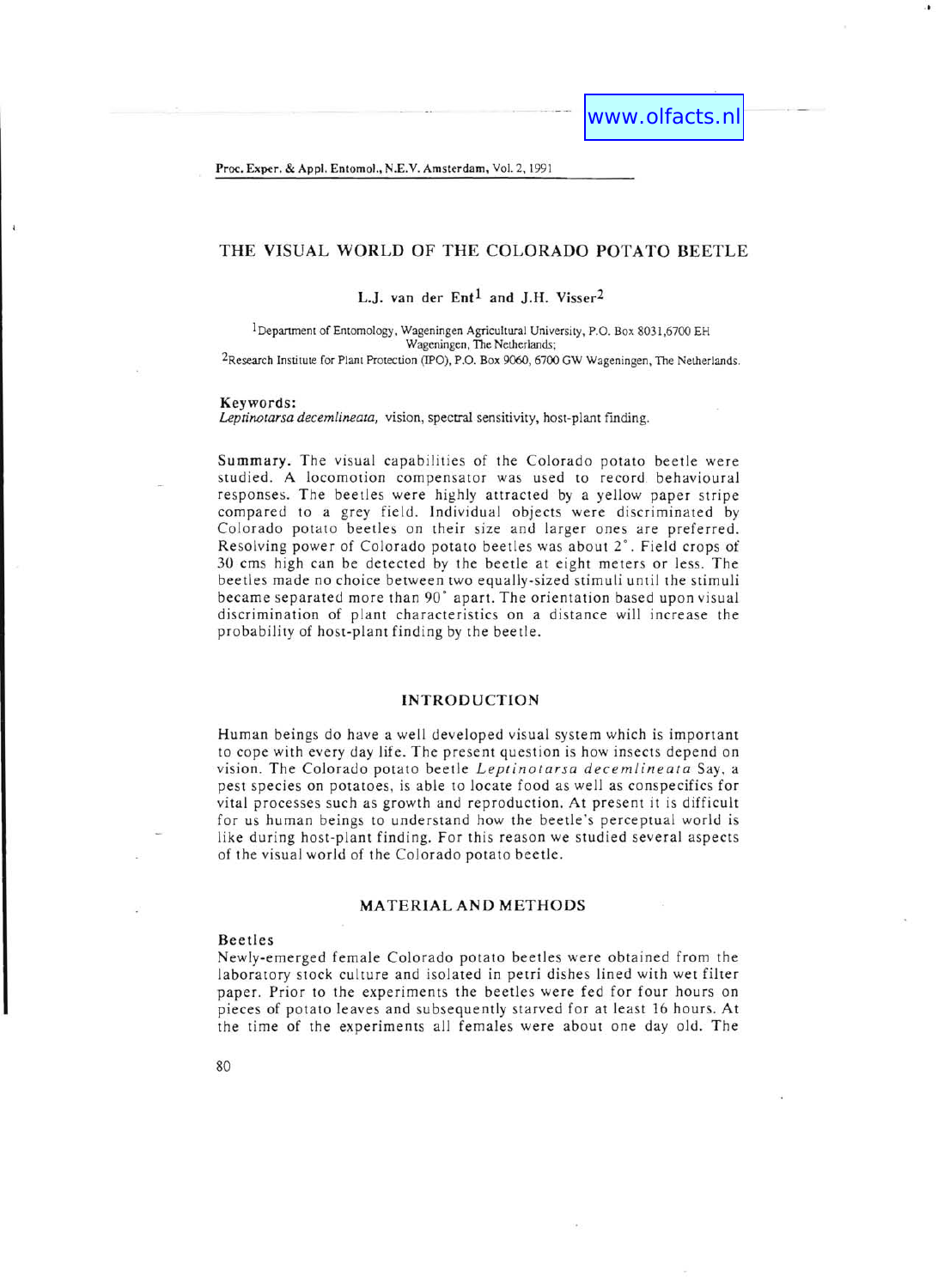Proc. Exper. & Appl. Entomol., N.E.V. Amsterdam, Vol. 2,1991

# THE VISUAL WORLD OF THE COLORADO POTATO BEETLE

## L.J. van der  $Ent<sup>1</sup>$  and J.H. Visser<sup>2</sup>

1 Department of Entomology, Wageningen Agricultural University, P.O. Box 8031,6700 EH Wageningen, The Netherlands; 2Research Institute for Plant Protection (IPO), P.O. Box 9060, 6700 GW Wageningen, The Netherlands.

#### Keywords:

*Leptinotarsa decemlineata,* vision, spectral sensitivity, host-plant finding.

Summary. The visual capabilities of the Colorado potato beetle were studied. A locomotion compensator was used to record behavioural responses. The beetles were highly attracted by a yellow paper stripe compared to a grey field. Individual objects were discriminated by Colorado potato beetles on their size and larger ones are preferred. Resolving power of Colorado potato beetles was about 2°. Field crops of 30 cms high can be detected by the beetle at eight meters or less. The beetles made no choice between two equally-sized stimuli until the stimuli became separated more than 90° apart. The orientation based upon visual discrimination of plant characteristics on a distance will increase the probability of host-plant finding by the beetle.

### INTRODUCTION

Human beings do have a well developed visual system which is important to cope with every day life. The present question is how insects depend on vision. The Colorado potato beetle *Leptinotarsa decemlineata* Say, a pest species on potatoes, is able to locate food as well as conspecifics for vital processes such as growth and reproduction. At present it is difficult for us human beings to understand how the beetle's perceptual world is like during host-plant finding. For this reason we studied several aspects of the visual world of the Colorado potato beetle.

### MATERIALAND METHODS

#### Beetles

Newly-emerged female Colorado potato beetles were obtained from the laboratory stock culture and isolated in petri dishes lined with wet filter paper. Prior to the experiments the beetles were fed for four hours on pieces of potato leaves and subsequently starved for at least 16 hours. At the time of the experiments all females were about one day old. The

80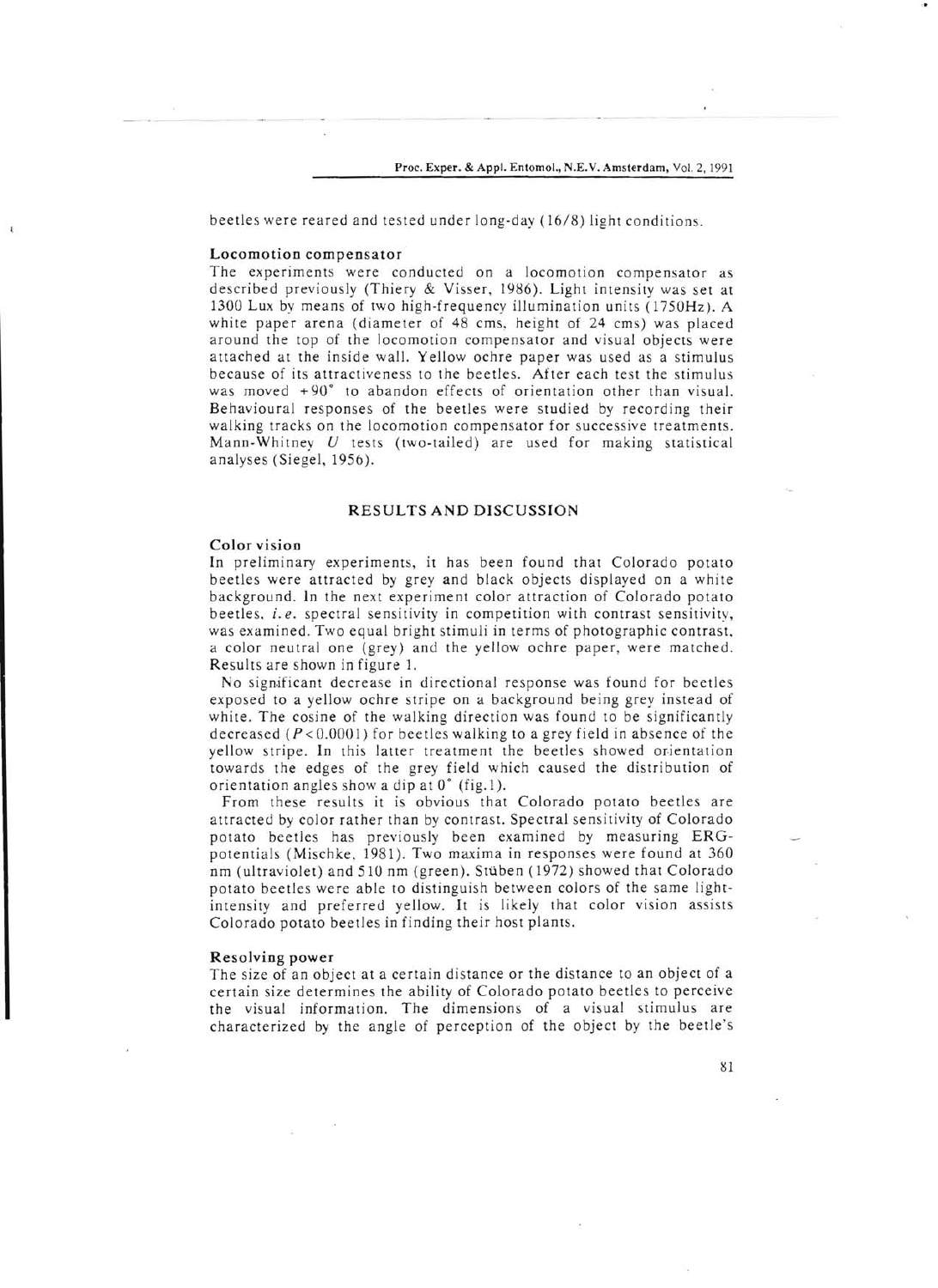beetles were reared and tested under long-day (16/8) light conditions.

### Locomotion compensator

The experiments were conducted on a locomotion compensator as described previously (Thiery & Visser, 1986). Light intensity was set at 1300 Lux by means of two high-frequency illumination units (1750Hz). A white paper arena (diameter of 48 cms, height of 24 cms) was placed around the top of the locomotion compensator and visual objects were attached at the inside wall. Yellow ochre paper was used as a stimulus because of its attractiveness to the beetles. After each test the stimulus was moved  $+90^{\circ}$  to abandon effects of orientation other than visual. Behavioural responses of the beetles were studied by recording their walking tracks on the locomotion compensator for successive treatments. Mann-Whitney  $U$  tests (two-tailed) are used for making statistical analyses (Siegel, 1956).

#### RESULTS AND DISCUSSION

#### Color vision

In preliminary experiments, it has been found that Colorado potato beetles were attracted by grey and black objects displayed on a white background. In the next experiment color attraction of Colorado potato beetles. *i. e.* spectral sensitivity in competition with contrast sensitivity, was examined. Two equal bright stimuli in terms of photographic contrast. a color neutral one (grey) and the yellow ochre paper, were matched. Results are shown in figure 1.

No significant decrease in directional response was found for beetles exposed to a yellow ochre stripe on a background being grey instead of white. The cosine of the walking direction was found to be significantly decreased  $(P < 0.0001)$  for beetles walking to a grey field in absence of the yellow stripe. In this latter treatment the beetles showed orientation towards the edges of the grey field which caused the distribution of orientation angles show a dip at 0° (fig. 1).

From these results it is obvious that Colorado potato beetles are attracted by color rather than by contrast. Spectral sensitivity of Colorado potato beetles has previously been examined by measuring ERGpotentials (Mischke. 1981). Two maxima in responses were found at 360 nm (ultraviolet) and 510 nm (green). Stuben (1972) showed that Colorado potato beetles were able to distinguish between colors of the same lightintensity and preferred yellow. It is likely that color vision assists Colorado potato beetles in finding their host plants.

#### Resolving power

The size of an object at a certain distance or the distance to an object of a certain size determines the ability of Colorado potato beetles to perceive the visual information. The dimensions of a visual stimulus are characterized by the angle of perception of the object by the beetle's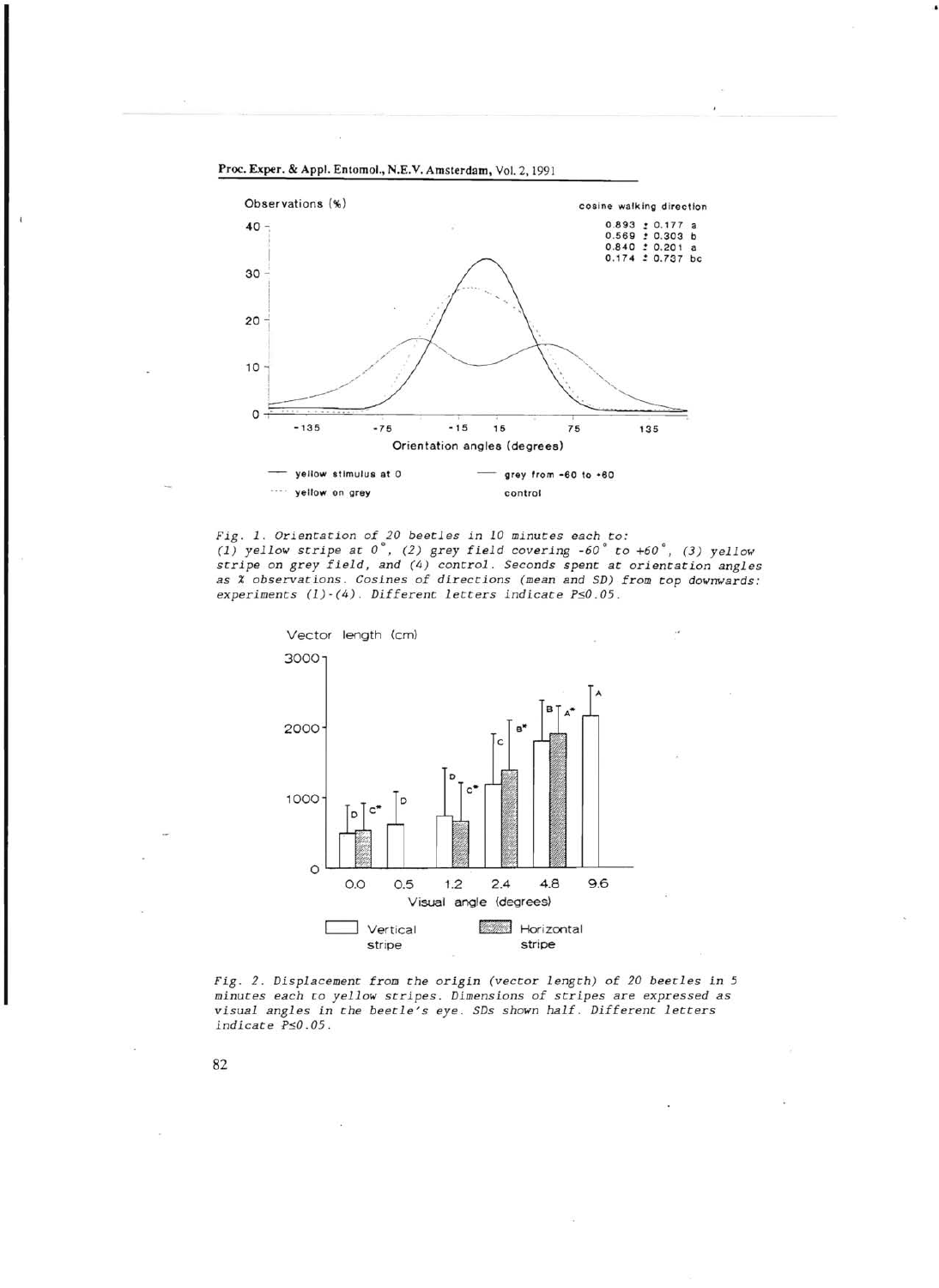

..

*Fig.* 1 . *Orientation of* 20 *beetles in* 10 *minutes each to : (1)* yellow stripe at  $0^\circ$ , *(2)* grey field covering  $-60^\circ$  to  $+60^\circ$ , *(3)* yellow *stripe* on *grey field, and* (4) *control. Seconds spent at orientation angles as* % *observations. Cosines of directions (mean and SD) from top downwards: experiments (1) - (4) . Different letters indicate PsO.05.* 





82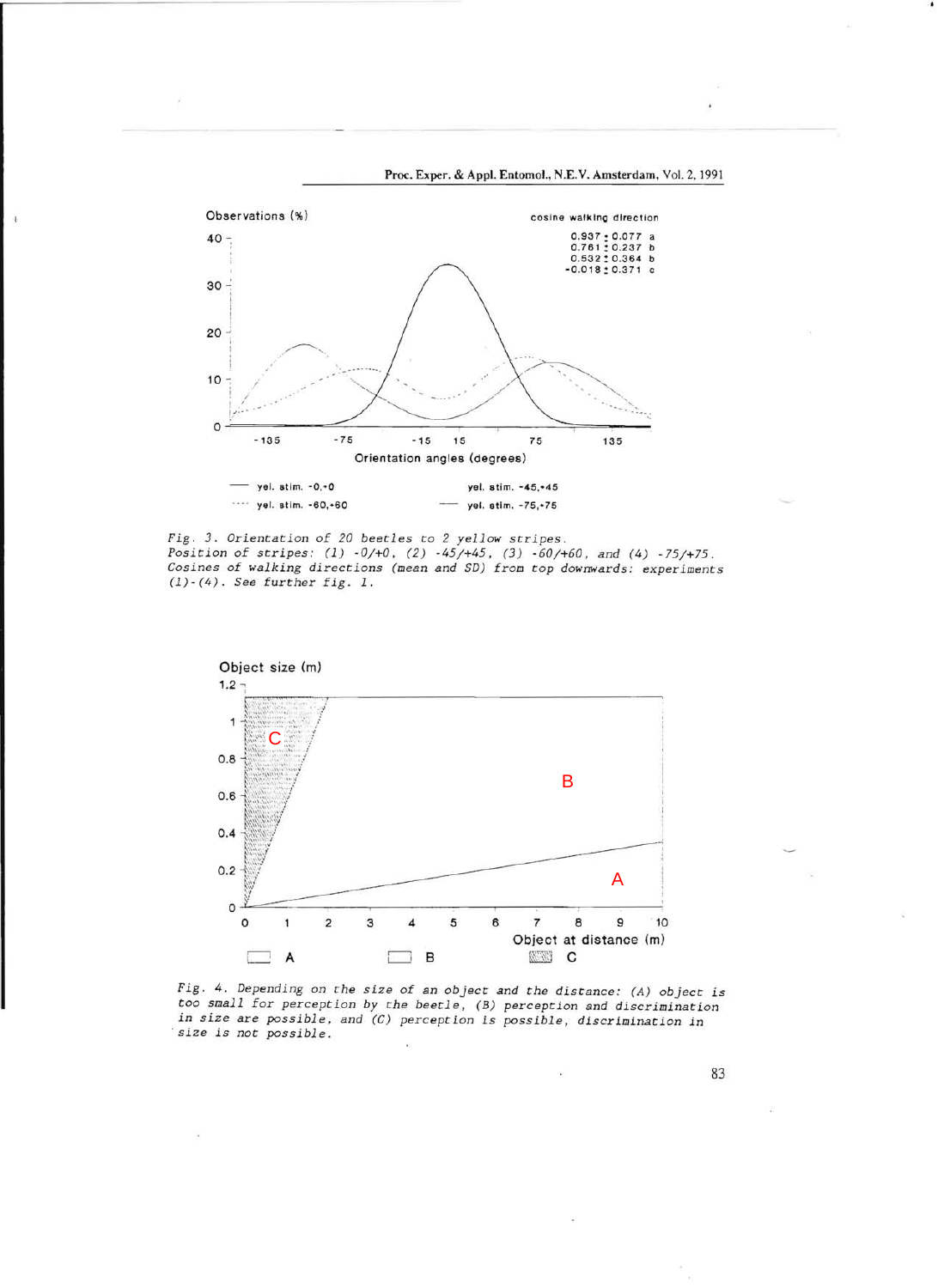

Proc. Exper. & Appl. Entomol., N.E.V. Amsterdam, Vol. 2,1991

-.

*Fig.* 3. *Orientation of* 20 *beetles* to 2 *yellow stripes. Position of stripes:* (1) *-0/+0,* (2) -45/+45, (3) *-60/+60, and* (4) -75/+75 . *Cosines of walking directions (mean and SD) from top downwards: experiments (1)-(4). See further fig. 1.* 



*Fig.* 4. *Depending on the size of an object and the distance: (A) object is too small for perception* by *the beetle, (B) perception and discrimination*  in size are possible, and (C) perception is possible, discrimination in *-size is not possible .* 

83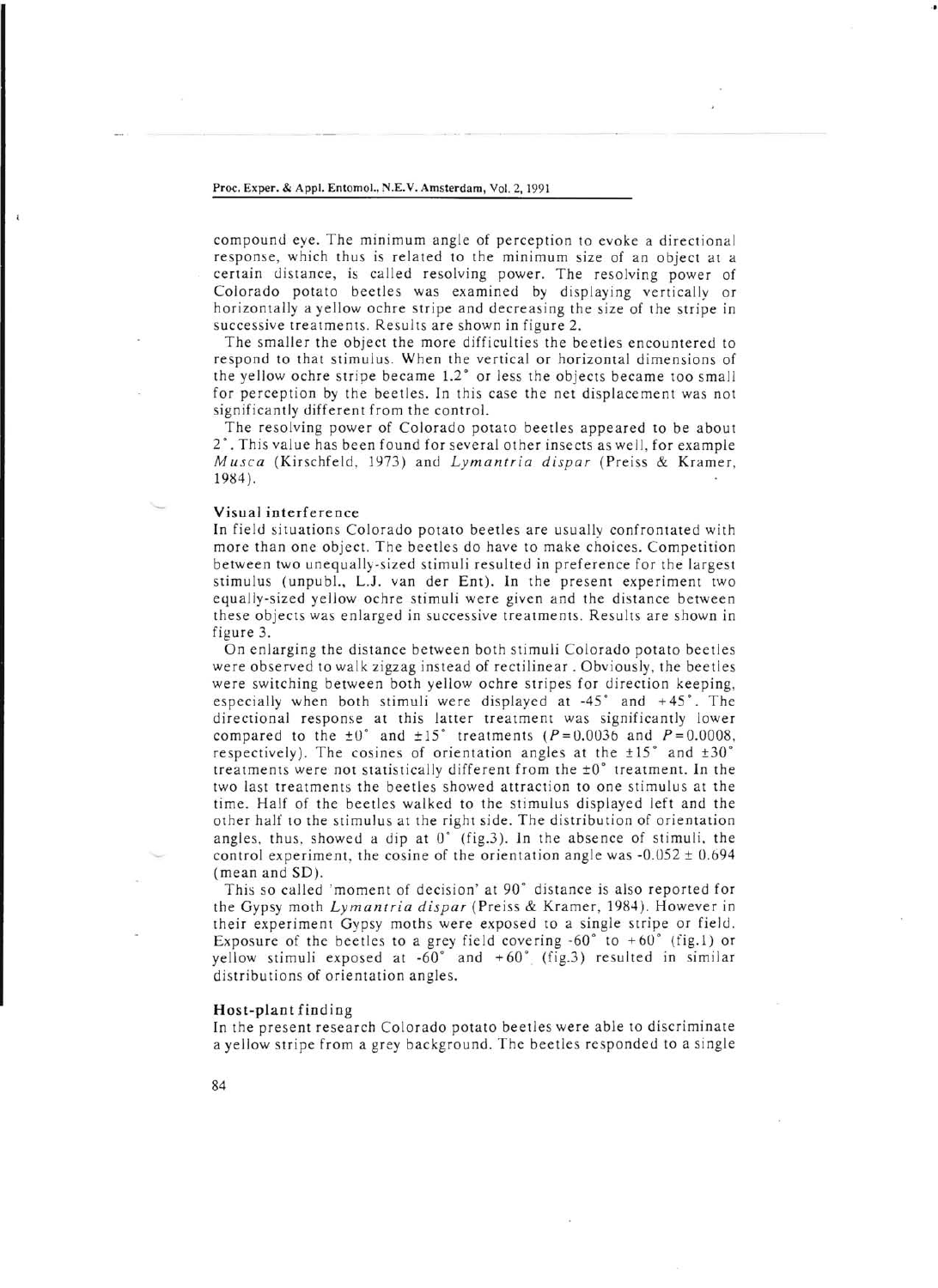#### Proc. Exper. & Appl. Entomol., N.E.V. Amsterdam, Vol. 2,1991

compound eye. The minimum angle of perception to evoke a directional response, which thus is related to the minimum size of an object at a certain distance, is called resolving power. The resolving power of Colorado potato beetles was examined by displaying vertically or horizontally a yellow ochre stripe and decreasing the size of the stripe in successive treatments. Results are shown in figure 2.

The smaller the object the more difficulties the beetles encountered to respond to that stimulus. When the vertical or horizontal dimensions of the yellow ochre stripe became 1.2° or less the objects became too small for perception by the beetles. In this case the net displacement was not significantly different from the control.

The resolving power of Colorado potato beetles appeared to be about 2°. This value has been found for several other insects as well, for example *Musca* (Kirschfeld, 1973) and *Lymantria dispar* (Preiss & Kramer, 1994 ).

#### Visual interference

In field situations Colorado potato beetles are usually confrontated with more than one object. The beetles do have to make choices. Competition between two unequally-sized stimuli resulted in preference for the largest stimulus (unpubl., L.J. van der Ent). In the present experiment two equally-sized yellow ochre stimuli were given and the distance between these objects was enlarged in successive treatments. Results are shown in figure 3.

On enlarging the distance between both stimuli Colorado potato beetles were observed to walk zigzag instead of rectilinear. Obviously, the beetles were switching between both yellow ochre stripes for direction keeping, especially when both stimuli were displayed at  $-45^\circ$  and  $+45^\circ$ . The directional response at this latter treatment was significantly lower compared to the  $\pm 0^{\circ}$  and  $\pm 15^{\circ}$  treatments (P=0.0036 and P=0.0008, respectively). The cosines of orientation angles at the  $\pm 15^\circ$  and  $\pm 30^\circ$ treatments were not statistically different from the  $\pm 0^{\circ}$  treatment. In the two last treatments the beetles showed attraction to one stimulus at the time. Half of the beetles walked to the stimulus displayed left and the other half to the stimulus at the right side. The distribution of orientation angles, thus, showed a dip at  $0^{\circ}$  (fig.3). In the absence of stimuli, the control experiment, the cosine of the orientation angle was  $-0.052 \pm 0.694$ (mean and SD).<br>This so called 'moment of decision' at 90° distance is also reported for

the Gypsy moth *Lymantria dispar* (Preiss & Kramer, 1984). However in their experiment Gypsy moths were exposed to a single stripe or field. Exposure of the beetles to a grey field covering  $-60^\circ$  to  $+60^\circ$  (fig.1) or yellow stimuli exposed at  $-60^\circ$  and  $+60^\circ$  (fig.3) resulted in similar distributions of orientation angles.

### Host-plant finding

In the present research Colorado potato beetles were able to discriminate a yellow stripe from a grey background. The beetles responded to a single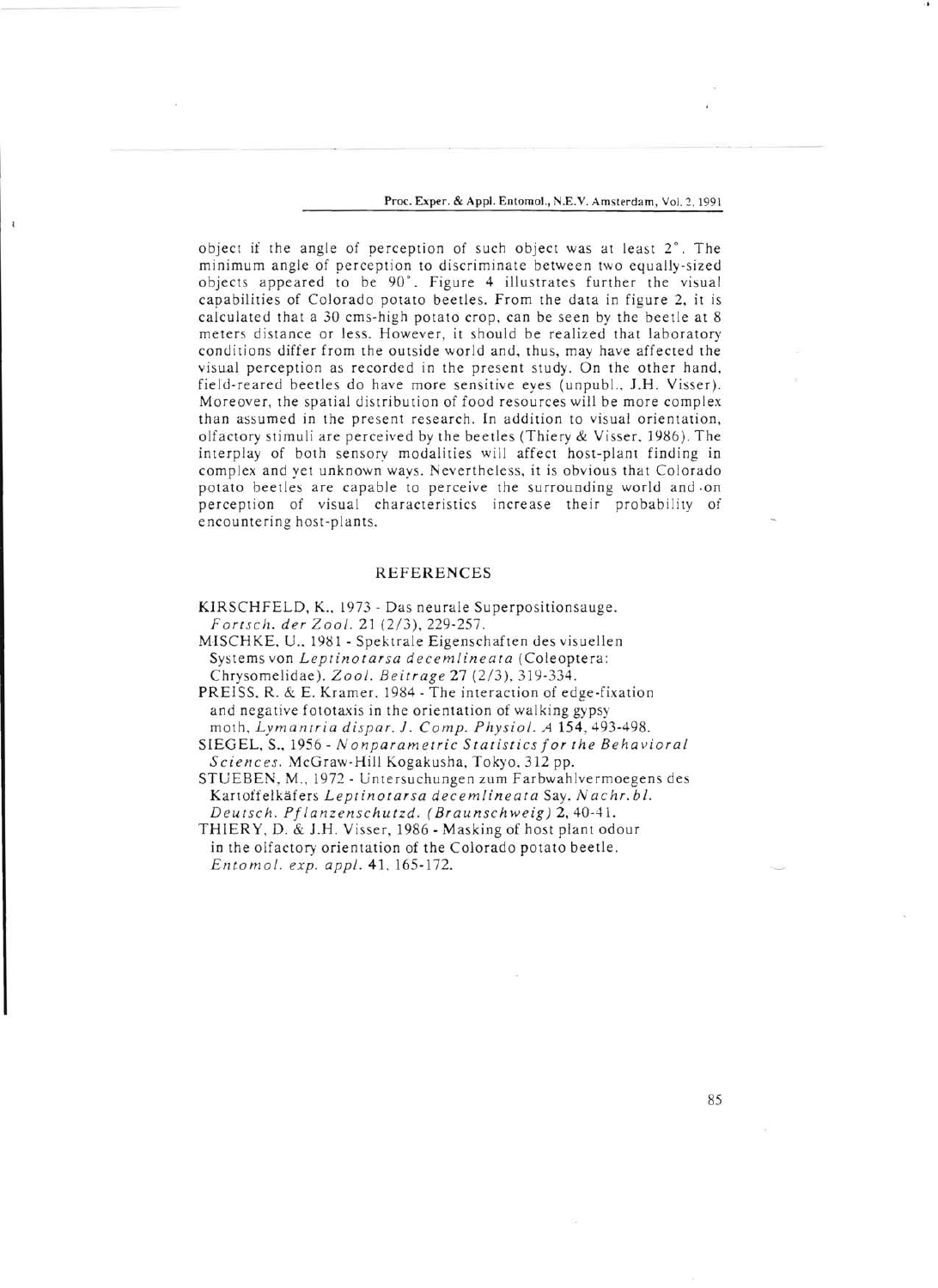Proc. Exper. & Appl. Entomol., N.E.V. Amsterdam, Vol. 2.1991

object if the angle of perception of such object was at least 2°. The minimum angle of perception to discriminate between two equally-sized objects appeared to be 90°. Figure 4 illustrates further the visual capabilities of Colorado potato beetles. From the data in figure 2. it is calculated that a 30 cms-high potato crop, can be seen by the beetle at 8 meters distance or less. However, it should be realized that laboratory conditions differ from the outside world and, thus, may have affected the visual perception as recorded in the present study. On the other hand, field-reared beetles do have more sensitive eyes (unpubl.. 1.H. Visser). Moreover, the spatial distribution of food resources will be more complex than assumed in the present research. In addition to visual orientation, olfactory stimuli are perceived by the beetles (Thiery & Visser, 1986). The interplay of both sensory modalities will affect host-plant finding in complex and yet unknown ways. Nevertheless, it is obvious that Colorado potato beetles are capable to perceive the surrounding world and on perception of visual characteristics increase their probability of encountering host-plants.

# REFERENCES

KIRSCHFELD, K., 1973 - Das neurale Superpositionsauge. *Fortsch. der Zool.* 21 (2/3),229-257.

MISCHKE, U., 1981 - Spektrale Eigenschaften des visuellen Systems von *Leptinotarsa decemlineata* (Coleoptera: Chrysomelidae). *Zool. Beitrage* 27 (2/3), 319-334.

PREISS, R. & E. Kramer. 1984 - The interaction of edge-fixation and negative fototaxis in the orientation of walking gypsy moth. *Lymantria dispar.* 1. *Compo Physiol.* A 154,493-498.

SIEGEL. S., 1956 - *N onparametric Statistics Jor the Behavioral Sci e n* c *es.* McGraw-Hili Kogakusha, Tokyo, 312 pp.

STUEBEN, M., 1972 - Untersuchungen zum Farbwahlvermoegens des Kartoffelkäfers Leptinotarsa decemlineata Say. Nachr. bl. *Deutsch. PJlanzenschutzd. (Braunschweig)* 2,40-41.

THIERY, D. & J.H. Visser, 1986 - Masking of host plant odour in the olfactory orientation of the Colorado potato beetle. *Entomol. exp. appl.* 41, 165-172.